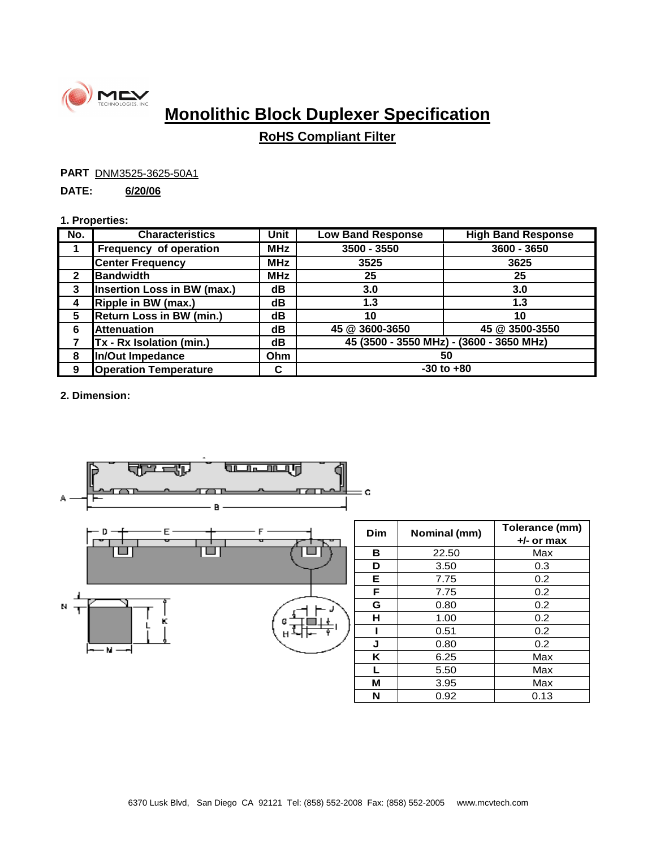

# **Monolithic Block Duplexer Specification**

## **RoHS Compliant Filter**

**PART DNM3525-3625-50A1** 

### **DATE: 6/20/06**

#### **1. Properties:**

| No.          | <b>Characteristics</b>             | Unit       | <b>Low Band Response</b>                 | <b>High Band Response</b> |
|--------------|------------------------------------|------------|------------------------------------------|---------------------------|
|              | <b>Frequency of operation</b>      | <b>MHz</b> | $3500 - 3550$                            | $3600 - 3650$             |
|              | <b>Center Frequency</b>            | <b>MHz</b> | 3525                                     | 3625                      |
| $\mathbf{c}$ | <b>Bandwidth</b>                   | <b>MHz</b> | 25                                       | 25                        |
| 3            | <b>Insertion Loss in BW (max.)</b> | dB         | 3.0                                      | 3.0                       |
| 4            | Ripple in BW (max.)                | dB         | 1.3                                      | 1.3                       |
| 5            | <b>Return Loss in BW (min.)</b>    | dB         | 10                                       | 10                        |
| 6            | <b>Attenuation</b>                 | dB         | 45 @ 3600-3650                           | 45 @ 3500-3550            |
|              | Tx - Rx Isolation (min.)           | dB         | 45 (3500 - 3550 MHz) - (3600 - 3650 MHz) |                           |
| 8            | In/Out Impedance                   | Ohm        | 50                                       |                           |
| 9            | <b>Operation Temperature</b>       | C          | $-30$ to $+80$                           |                           |

**2. Dimension:**